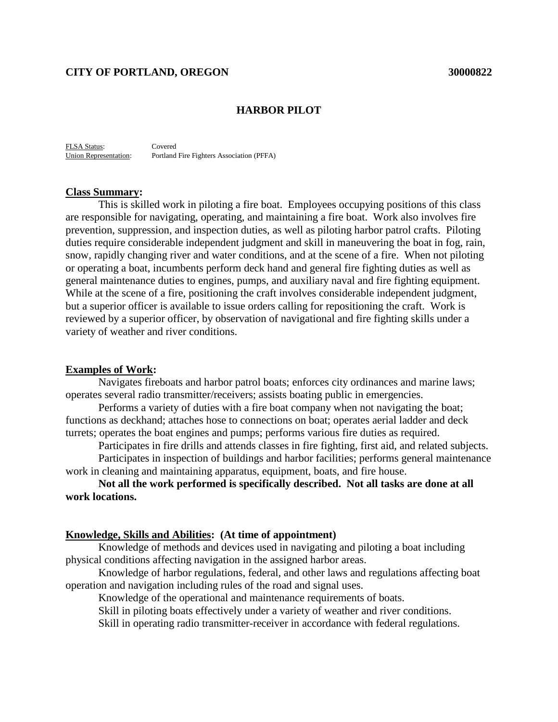### **CITY OF PORTLAND, OREGON 30000822**

### **HARBOR PILOT**

FLSA Status: Covered Union Representation: Portland Fire Fighters Association (PFFA)

#### **Class Summary:**

This is skilled work in piloting a fire boat. Employees occupying positions of this class are responsible for navigating, operating, and maintaining a fire boat. Work also involves fire prevention, suppression, and inspection duties, as well as piloting harbor patrol crafts. Piloting duties require considerable independent judgment and skill in maneuvering the boat in fog, rain, snow, rapidly changing river and water conditions, and at the scene of a fire. When not piloting or operating a boat, incumbents perform deck hand and general fire fighting duties as well as general maintenance duties to engines, pumps, and auxiliary naval and fire fighting equipment. While at the scene of a fire, positioning the craft involves considerable independent judgment, but a superior officer is available to issue orders calling for repositioning the craft. Work is reviewed by a superior officer, by observation of navigational and fire fighting skills under a variety of weather and river conditions.

#### **Examples of Work:**

Navigates fireboats and harbor patrol boats; enforces city ordinances and marine laws; operates several radio transmitter/receivers; assists boating public in emergencies.

Performs a variety of duties with a fire boat company when not navigating the boat; functions as deckhand; attaches hose to connections on boat; operates aerial ladder and deck turrets; operates the boat engines and pumps; performs various fire duties as required.

Participates in fire drills and attends classes in fire fighting, first aid, and related subjects.

Participates in inspection of buildings and harbor facilities; performs general maintenance work in cleaning and maintaining apparatus, equipment, boats, and fire house.

**Not all the work performed is specifically described. Not all tasks are done at all work locations.**

#### **Knowledge, Skills and Abilities: (At time of appointment)**

Knowledge of methods and devices used in navigating and piloting a boat including physical conditions affecting navigation in the assigned harbor areas.

Knowledge of harbor regulations, federal, and other laws and regulations affecting boat operation and navigation including rules of the road and signal uses.

Knowledge of the operational and maintenance requirements of boats.

Skill in piloting boats effectively under a variety of weather and river conditions.

Skill in operating radio transmitter-receiver in accordance with federal regulations.